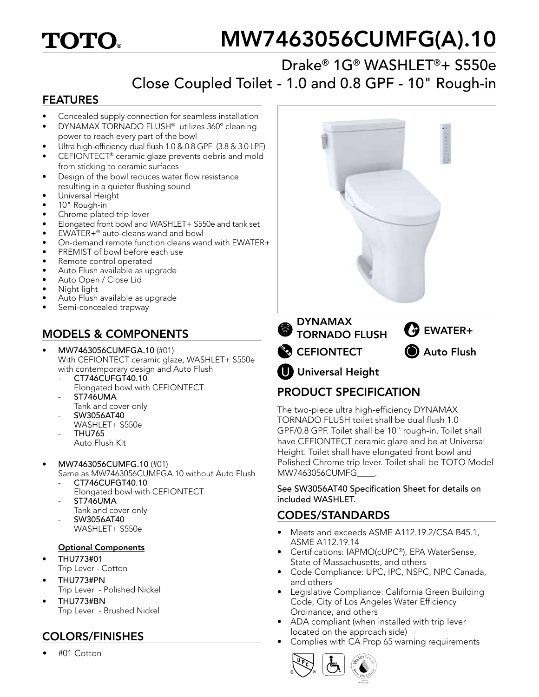# **TOTO**

# MW7463056CUMFG(A).10

### Drake® 1G® WASHLET®+ S550e Close Coupled Toilet - 1.0 and 0.8 GPF - 10" Rough-in

#### FEATURES

- Concealed supply connection for seamless installation
- DYNAMAX TORNADO FLUSH® utilizes 360º cleaning power to reach every part of the bowl
- Ultra high-efficiency dual flush 1.0 & 0.8 GPF (3.8 & 3.0 LPF)
- CEFIONTECT® ceramic glaze prevents debris and mold from sticking to ceramic surfaces
- Design of the bowl reduces water flow resistance resulting in a quieter flushing sound
- Universal Height
- 10" Rough-in
- Chrome plated trip lever
- Elongated front bowl and WASHLET+ S550e and tank set
- EWATER+® auto-cleans wand and bowl
- On-demand remote function cleans wand with EWATER+
- PREMIST of bowl before each use
- Remote control operated
- Auto Flush available as upgrade
- Auto Open / Close Lid
- Night light
- Auto Flush available as upgrade
- Semi-concealed trapway

#### MODELS & COMPONENTS

- MW7463056CUMFGA.10 (#01) With CEFIONTECT ceramic glaze, WASHLET+ S550e with contemporary design and Auto Flush
	- CT746CUFGT40.10 Elongated bowl with CEFIONTECT
	- ST746UMA
	- Tank and cover only
	- SW3056AT40 WASHLET+ S550e
	- THU765 Auto Flush Kit
	-
- MW7463056CUMFG.10 (#01)
	- Same as MW7463056CUMFGA.10 without Auto Flush - CT746CUFGT40.10
	- Elongated bowl with CEFIONTECT
	- ST746UMA
		- Tank and cover only
	- SW3056AT40 WASHLET+ S550e

#### Optional Components

- THU773#01
- Trip Lever Cotton
- THU773#PN Trip Lever - Polished Nickel
- THU773#BN Trip Lever - Brushed Nickel

• #01 Cotton



#### PRODUCT SPECIFICATION

The two-piece ultra high-efficiency DYNAMAX TORNADO FLUSH toilet shall be dual flush 1.0 GPF/0.8 GPF. Toilet shall be 10" rough-in. Toilet shall have CEFIONTECT ceramic glaze and be at Universal Height. Toilet shall have elongated front bowl and Polished Chrome trip lever. Toilet shall be TOTO Model MW7463056CUMFG\_\_\_\_.

See SW3056AT40 Specification Sheet for details on included WASHLET.

#### CODES/STANDARDS

- Meets and exceeds ASME A112.19.2/CSA B45.1, ASME A112.19.14
- Certifications: IAPMO(cUPC®), EPA WaterSense, State of Massachusetts, and others
- Code Compliance: UPC, IPC, NSPC, NPC Canada, and others
- Legislative Compliance: California Green Building Code, City of Los Angeles Water Efficiency Ordinance, and others
- ADA compliant (when installed with trip lever located on the approach side)
- Complies with CA Prop 65 warning requirements COLORS/FINISHES